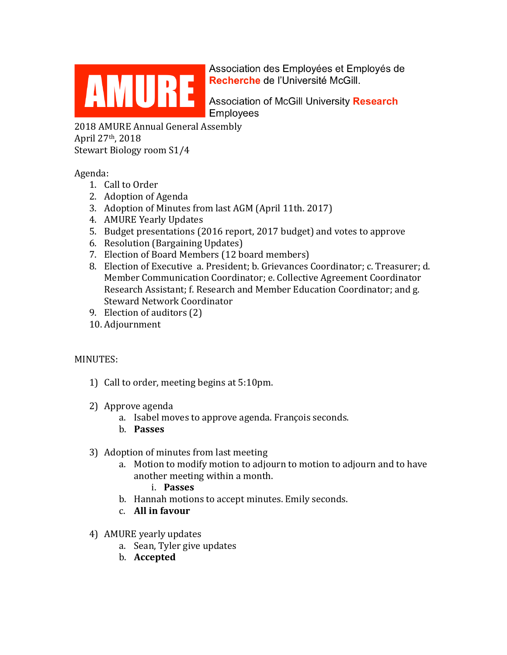

Association des Employées et Employés de

Employees

2018 AMURE Annual General Assembly April 27th, 2018 Stewart Biology room S1/4

Agenda:

- 1. Call to Order
- 2. Adoption of Agenda
- 3. Adoption of Minutes from last AGM (April 11th. 2017)
- 4. AMURE Yearly Updates
- 5. Budget presentations (2016 report, 2017 budget) and votes to approve
- 6. Resolution (Bargaining Updates)
- 7. Election of Board Members (12 board members)
- 8. Election of Executive a. President; b. Grievances Coordinator; c. Treasurer; d. Member Communication Coordinator; e. Collective Agreement Coordinator Research Assistant; f. Research and Member Education Coordinator; and g. Steward Network Coordinator
- 9. Election of auditors (2)
- 10. Adjournment

## MINUTES:

- 1) Call to order, meeting begins at 5:10pm.
- 2) Approve agenda
	- a. Isabel moves to approve agenda. François seconds.
	- b. **Passes**
- 3) Adoption of minutes from last meeting
	- a. Motion to modify motion to adjourn to motion to adjourn and to have another meeting within a month.
		- i. **Passes**
	- b. Hannah motions to accept minutes. Emily seconds.
	- c. **All in favour**
- 4) AMURE yearly updates
	- a. Sean, Tyler give updates
	- b. **Accepted**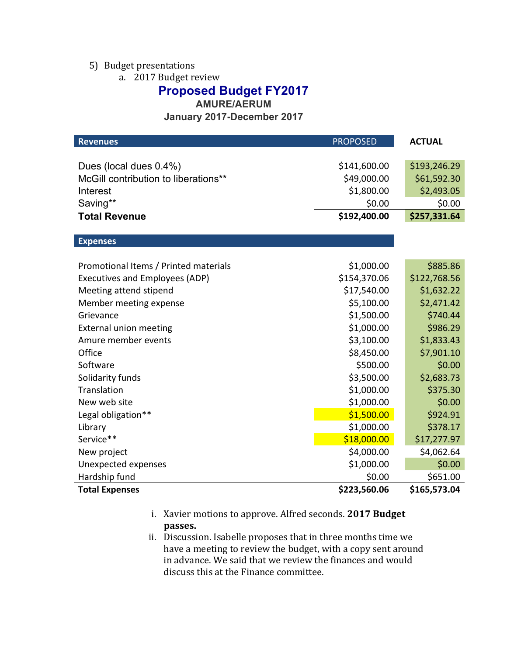### 5) Budget presentations

a. 2017 Budget review

# **Proposed Budget FY2017**

**AMURE/AERUM**

**January 2017-December 2017**

| <b>Revenues</b>                       | <b>PROPOSED</b> | <b>ACTUAL</b> |
|---------------------------------------|-----------------|---------------|
|                                       |                 |               |
| Dues (local dues 0.4%)                | \$141,600.00    | \$193,246.29  |
| McGill contribution to liberations**  | \$49,000.00     | \$61,592.30   |
| Interest                              | \$1,800.00      | \$2,493.05    |
| Saving**                              | \$0.00          | \$0.00        |
| <b>Total Revenue</b>                  | \$192,400.00    | \$257,331.64  |
|                                       |                 |               |
| <b>Expenses</b>                       |                 |               |
|                                       |                 |               |
| Promotional Items / Printed materials | \$1,000.00      | \$885.86      |
| <b>Executives and Employees (ADP)</b> | \$154,370.06    | \$122,768.56  |
| Meeting attend stipend                | \$17,540.00     | \$1,632.22    |
| Member meeting expense                | \$5,100.00      | \$2,471.42    |
| Grievance                             | \$1,500.00      | \$740.44      |
| <b>External union meeting</b>         | \$1,000.00      | \$986.29      |
| Amure member events                   | \$3,100.00      | \$1,833.43    |
| Office                                | \$8,450.00      | \$7,901.10    |
| Software                              | \$500.00        | \$0.00        |
| Solidarity funds                      | \$3,500.00      | \$2,683.73    |
| Translation                           | \$1,000.00      | \$375.30      |
| New web site                          | \$1,000.00      | \$0.00        |
| Legal obligation**                    | \$1,500.00      | \$924.91      |
| Library                               | \$1,000.00      | \$378.17      |
| Service**                             | \$18,000.00     | \$17,277.97   |
| New project                           | \$4,000.00      | \$4,062.64    |
| Unexpected expenses                   | \$1,000.00      | \$0.00        |
| Hardship fund                         | \$0.00          | \$651.00      |
| <b>Total Expenses</b>                 | \$223,560.06    | \$165,573.04  |

- i. Xavier motions to approve. Alfred seconds. **2017 Budget passes.**
- ii. Discussion. Isabelle proposes that in three months time we have a meeting to review the budget, with a copy sent around in advance. We said that we review the finances and would discuss this at the Finance committee.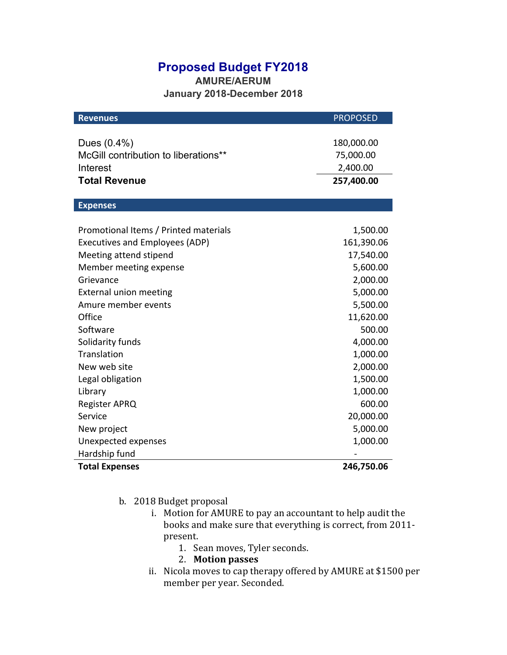## **Proposed Budget FY2018**

**AMURE/AERUM January 2018-December 2018**

| <b>Revenues</b>                                     | <b>PROPOSED</b>         |
|-----------------------------------------------------|-------------------------|
| Dues (0.4%)<br>McGill contribution to liberations** | 180,000.00<br>75,000.00 |
| Interest                                            | 2,400.00                |
| <b>Total Revenue</b>                                | 257,400.00              |
| <b>Expenses</b>                                     |                         |
|                                                     |                         |
| Promotional Items / Printed materials               | 1,500.00                |
| <b>Executives and Employees (ADP)</b>               | 161,390.06              |
| Meeting attend stipend                              | 17,540.00               |
| Member meeting expense                              | 5,600.00                |
| Grievance                                           | 2,000.00                |
| <b>External union meeting</b>                       | 5,000.00                |
| Amure member events                                 | 5,500.00                |
| Office                                              | 11,620.00               |
| Software                                            | 500.00                  |
| Solidarity funds                                    | 4,000.00                |
| Translation                                         | 1,000.00                |
| New web site                                        | 2,000.00                |
| Legal obligation                                    | 1,500.00                |
| Library                                             | 1,000.00                |
| <b>Register APRQ</b>                                | 600.00                  |
| Service                                             | 20,000.00               |
| New project                                         | 5,000.00                |
| Unexpected expenses                                 | 1,000.00                |
| Hardship fund                                       |                         |
| <b>Total Expenses</b>                               | 246,750.06              |

- b. 2018 Budget proposal
	- i. Motion for AMURE to pay an accountant to help audit the books and make sure that everything is correct, from 2011present.
		- 1. Sean moves, Tyler seconds.
		- 2. **Motion passes**
	- ii. Nicola moves to cap therapy offered by AMURE at \$1500 per member per year. Seconded.